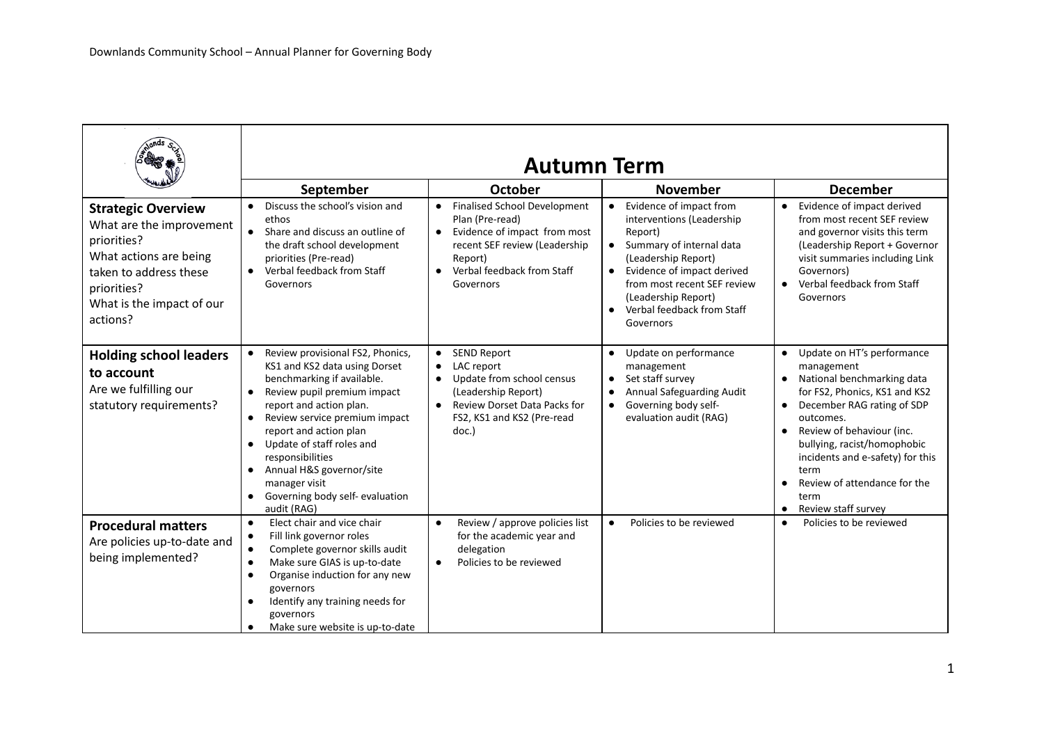|                                                                                                                                                                                  | <b>Autumn Term</b>                                                                                                                                                                                                                                                                                                                                                                                                                    |                                                                                                                                                                                         |                                                                                                                                                                                                                                                                                          |                                                                                                                                                                                                                                                                                                                                                                                                         |
|----------------------------------------------------------------------------------------------------------------------------------------------------------------------------------|---------------------------------------------------------------------------------------------------------------------------------------------------------------------------------------------------------------------------------------------------------------------------------------------------------------------------------------------------------------------------------------------------------------------------------------|-----------------------------------------------------------------------------------------------------------------------------------------------------------------------------------------|------------------------------------------------------------------------------------------------------------------------------------------------------------------------------------------------------------------------------------------------------------------------------------------|---------------------------------------------------------------------------------------------------------------------------------------------------------------------------------------------------------------------------------------------------------------------------------------------------------------------------------------------------------------------------------------------------------|
|                                                                                                                                                                                  | September                                                                                                                                                                                                                                                                                                                                                                                                                             | <b>October</b>                                                                                                                                                                          | <b>November</b>                                                                                                                                                                                                                                                                          | <b>December</b>                                                                                                                                                                                                                                                                                                                                                                                         |
| <b>Strategic Overview</b><br>What are the improvement<br>priorities?<br>What actions are being<br>taken to address these<br>priorities?<br>What is the impact of our<br>actions? | Discuss the school's vision and<br>$\bullet$<br>ethos<br>• Share and discuss an outline of<br>the draft school development<br>priorities (Pre-read)<br>Verbal feedback from Staff<br>$\bullet$<br>Governors                                                                                                                                                                                                                           | • Finalised School Development<br>Plan (Pre-read)<br>Evidence of impact from most<br>$\bullet$<br>recent SEF review (Leadership<br>Report)<br>• Verbal feedback from Staff<br>Governors | Evidence of impact from<br>$\bullet$<br>interventions (Leadership<br>Report)<br>Summary of internal data<br>$\bullet$<br>(Leadership Report)<br>Evidence of impact derived<br>$\bullet$<br>from most recent SEF review<br>(Leadership Report)<br>Verbal feedback from Staff<br>Governors | Evidence of impact derived<br>$\bullet$<br>from most recent SEF review<br>and governor visits this term<br>(Leadership Report + Governor<br>visit summaries including Link<br>Governors)<br>Verbal feedback from Staff<br>$\bullet$<br>Governors                                                                                                                                                        |
| <b>Holding school leaders</b><br>to account<br>Are we fulfilling our<br>statutory requirements?                                                                                  | Review provisional FS2, Phonics,<br>KS1 and KS2 data using Dorset<br>benchmarking if available.<br>Review pupil premium impact<br>$\bullet$<br>report and action plan.<br>Review service premium impact<br>$\bullet$<br>report and action plan<br>Update of staff roles and<br>$\bullet$<br>responsibilities<br>Annual H&S governor/site<br>$\bullet$<br>manager visit<br>Governing body self- evaluation<br>$\bullet$<br>audit (RAG) | <b>SEND Report</b><br>$\bullet$<br>LAC report<br>$\bullet$<br>Update from school census<br>(Leadership Report)<br>Review Dorset Data Packs for<br>FS2, KS1 and KS2 (Pre-read<br>doc.)   | Update on performance<br>$\bullet$<br>management<br>Set staff survey<br>$\bullet$<br>Annual Safeguarding Audit<br>Governing body self-<br>$\bullet$<br>evaluation audit (RAG)                                                                                                            | Update on HT's performance<br>$\bullet$<br>management<br>National benchmarking data<br>$\bullet$<br>for FS2, Phonics, KS1 and KS2<br>December RAG rating of SDP<br>$\bullet$<br>outcomes.<br>Review of behaviour (inc.<br>$\bullet$<br>bullying, racist/homophobic<br>incidents and e-safety) for this<br>term<br>Review of attendance for the<br>$\bullet$<br>term<br>Review staff survey<br>$\bullet$ |
| <b>Procedural matters</b><br>Are policies up-to-date and<br>being implemented?                                                                                                   | Elect chair and vice chair<br>$\bullet$<br>Fill link governor roles<br>$\bullet$<br>Complete governor skills audit<br>$\bullet$<br>Make sure GIAS is up-to-date<br>$\bullet$<br>Organise induction for any new<br>$\bullet$<br>governors<br>Identify any training needs for<br>$\bullet$<br>governors<br>Make sure website is up-to-date<br>$\bullet$                                                                                 | Review / approve policies list<br>$\bullet$<br>for the academic year and<br>delegation<br>Policies to be reviewed<br>$\bullet$                                                          | Policies to be reviewed<br>$\bullet$                                                                                                                                                                                                                                                     | Policies to be reviewed<br>$\bullet$                                                                                                                                                                                                                                                                                                                                                                    |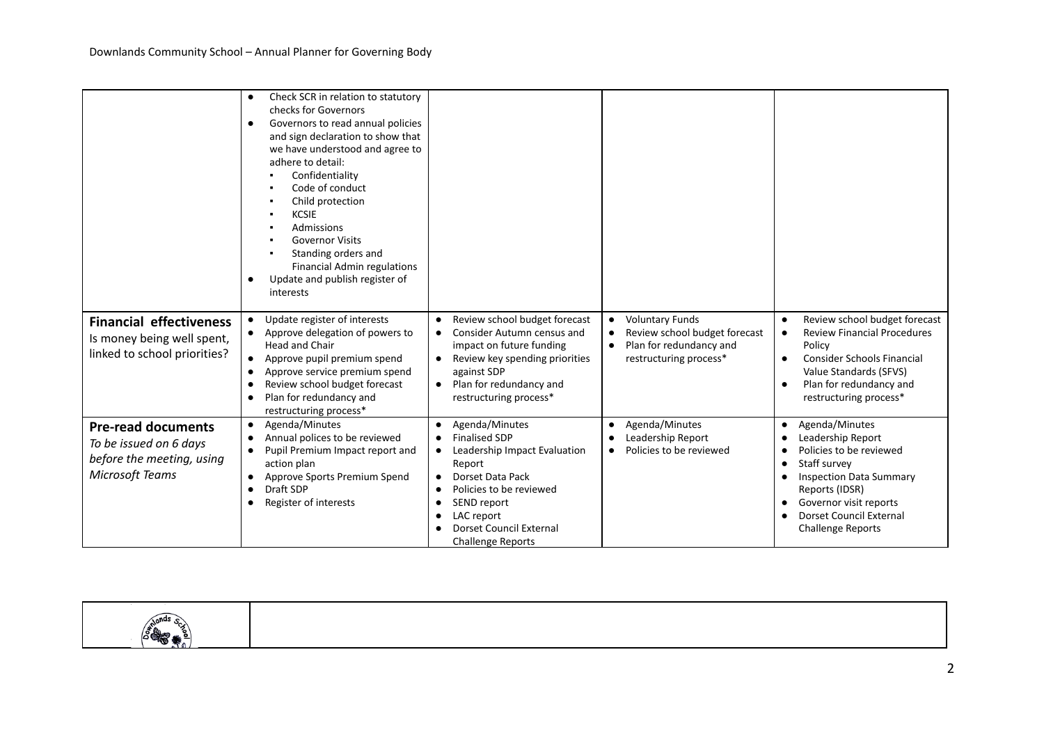|                                                              | Check SCR in relation to statutory<br>$\bullet$<br>checks for Governors<br>Governors to read annual policies<br>$\bullet$<br>and sign declaration to show that<br>we have understood and agree to<br>adhere to detail:<br>Confidentiality<br>Code of conduct<br>Child protection<br><b>KCSIE</b><br>Admissions<br><b>Governor Visits</b><br>Standing orders and<br><b>Financial Admin regulations</b><br>Update and publish register of<br><i>interests</i> |                                                                          |                                                                                   |                                                                                               |
|--------------------------------------------------------------|-------------------------------------------------------------------------------------------------------------------------------------------------------------------------------------------------------------------------------------------------------------------------------------------------------------------------------------------------------------------------------------------------------------------------------------------------------------|--------------------------------------------------------------------------|-----------------------------------------------------------------------------------|-----------------------------------------------------------------------------------------------|
| <b>Financial effectiveness</b><br>Is money being well spent, | Update register of interests<br>$\bullet$<br>Approve delegation of powers to                                                                                                                                                                                                                                                                                                                                                                                | Review school budget forecast<br>Consider Autumn census and<br>$\bullet$ | <b>Voluntary Funds</b><br>$\bullet$<br>Review school budget forecast<br>$\bullet$ | Review school budget forecast<br>$\bullet$<br><b>Review Financial Procedures</b><br>$\bullet$ |
| linked to school priorities?                                 | <b>Head and Chair</b><br>Approve pupil premium spend<br>$\bullet$                                                                                                                                                                                                                                                                                                                                                                                           | impact on future funding<br>Review key spending priorities               | Plan for redundancy and<br>$\bullet$<br>restructuring process*                    | Policy<br><b>Consider Schools Financial</b><br>$\bullet$                                      |
|                                                              | Approve service premium spend<br>$\bullet$<br>Review school budget forecast<br>$\bullet$                                                                                                                                                                                                                                                                                                                                                                    | against SDP<br>Plan for redundancy and                                   |                                                                                   | Value Standards (SFVS)<br>Plan for redundancy and<br>$\bullet$                                |
|                                                              | Plan for redundancy and<br>restructuring process*                                                                                                                                                                                                                                                                                                                                                                                                           | restructuring process*                                                   |                                                                                   | restructuring process*                                                                        |
| <b>Pre-read documents</b>                                    | Agenda/Minutes<br>$\bullet$<br>Annual polices to be reviewed<br>$\bullet$                                                                                                                                                                                                                                                                                                                                                                                   | Agenda/Minutes<br><b>Finalised SDP</b>                                   | Agenda/Minutes<br>$\bullet$<br>Leadership Report<br>$\bullet$                     | Agenda/Minutes<br>$\bullet$<br>Leadership Report                                              |
| To be issued on 6 days                                       | Pupil Premium Impact report and<br>$\bullet$                                                                                                                                                                                                                                                                                                                                                                                                                | Leadership Impact Evaluation<br>$\bullet$                                | Policies to be reviewed<br>$\bullet$                                              | Policies to be reviewed<br>$\bullet$                                                          |
| before the meeting, using                                    | action plan                                                                                                                                                                                                                                                                                                                                                                                                                                                 | Report                                                                   |                                                                                   | Staff survey<br>$\bullet$                                                                     |
| <b>Microsoft Teams</b>                                       | Approve Sports Premium Spend<br>$\bullet$<br>Draft SDP<br>$\bullet$                                                                                                                                                                                                                                                                                                                                                                                         | Dorset Data Pack<br>Policies to be reviewed                              |                                                                                   | <b>Inspection Data Summary</b><br>Reports (IDSR)                                              |
|                                                              | Register of interests<br>$\bullet$                                                                                                                                                                                                                                                                                                                                                                                                                          | SEND report<br>$\bullet$                                                 |                                                                                   | Governor visit reports<br>$\bullet$                                                           |
|                                                              |                                                                                                                                                                                                                                                                                                                                                                                                                                                             | LAC report<br>$\bullet$                                                  |                                                                                   | <b>Dorset Council External</b><br>$\bullet$                                                   |
|                                                              |                                                                                                                                                                                                                                                                                                                                                                                                                                                             | <b>Dorset Council External</b><br><b>Challenge Reports</b>               |                                                                                   | <b>Challenge Reports</b>                                                                      |

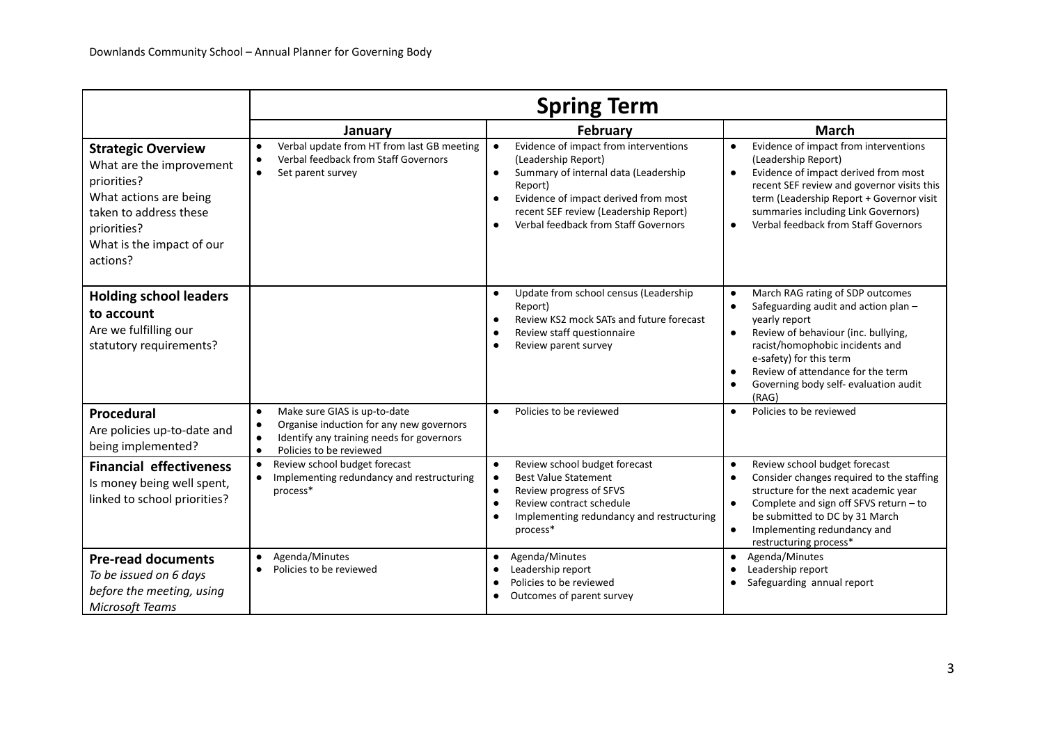|                                                                                                                                                                                  | <b>Spring Term</b>                                                                                                                                                                                   |                                                                                                                                                                                                                                                                                              |                                                                                                                                                                                                                                                                                                                                                        |  |
|----------------------------------------------------------------------------------------------------------------------------------------------------------------------------------|------------------------------------------------------------------------------------------------------------------------------------------------------------------------------------------------------|----------------------------------------------------------------------------------------------------------------------------------------------------------------------------------------------------------------------------------------------------------------------------------------------|--------------------------------------------------------------------------------------------------------------------------------------------------------------------------------------------------------------------------------------------------------------------------------------------------------------------------------------------------------|--|
|                                                                                                                                                                                  | January                                                                                                                                                                                              | <b>February</b>                                                                                                                                                                                                                                                                              | <b>March</b>                                                                                                                                                                                                                                                                                                                                           |  |
| <b>Strategic Overview</b><br>What are the improvement<br>priorities?<br>What actions are being<br>taken to address these<br>priorities?<br>What is the impact of our<br>actions? | Verbal update from HT from last GB meeting<br>$\bullet$<br>Verbal feedback from Staff Governors<br>$\bullet$<br>Set parent survey<br>$\bullet$                                                       | Evidence of impact from interventions<br>$\bullet$<br>(Leadership Report)<br>Summary of internal data (Leadership<br>$\bullet$<br>Report)<br>Evidence of impact derived from most<br>$\bullet$<br>recent SEF review (Leadership Report)<br>Verbal feedback from Staff Governors<br>$\bullet$ | Evidence of impact from interventions<br>$\bullet$<br>(Leadership Report)<br>Evidence of impact derived from most<br>$\bullet$<br>recent SEF review and governor visits this<br>term (Leadership Report + Governor visit<br>summaries including Link Governors)<br>Verbal feedback from Staff Governors<br>$\bullet$                                   |  |
| <b>Holding school leaders</b><br>to account<br>Are we fulfilling our<br>statutory requirements?                                                                                  |                                                                                                                                                                                                      | Update from school census (Leadership<br>$\bullet$<br>Report)<br>Review KS2 mock SATs and future forecast<br>$\bullet$<br>Review staff questionnaire<br>Review parent survey<br>$\bullet$                                                                                                    | March RAG rating of SDP outcomes<br>$\bullet$<br>Safeguarding audit and action plan -<br>$\bullet$<br>yearly report<br>Review of behaviour (inc. bullying,<br>$\bullet$<br>racist/homophobic incidents and<br>e-safety) for this term<br>Review of attendance for the term<br>$\bullet$<br>Governing body self- evaluation audit<br>$\bullet$<br>(RAG) |  |
| Procedural<br>Are policies up-to-date and<br>being implemented?                                                                                                                  | Make sure GIAS is up-to-date<br>$\bullet$<br>Organise induction for any new governors<br>$\bullet$<br>Identify any training needs for governors<br>$\bullet$<br>Policies to be reviewed<br>$\bullet$ | Policies to be reviewed<br>$\bullet$                                                                                                                                                                                                                                                         | Policies to be reviewed<br>$\bullet$                                                                                                                                                                                                                                                                                                                   |  |
| <b>Financial effectiveness</b><br>Is money being well spent,<br>linked to school priorities?                                                                                     | Review school budget forecast<br>$\bullet$<br>Implementing redundancy and restructuring<br>$\bullet$<br>process*                                                                                     | Review school budget forecast<br>$\bullet$<br><b>Best Value Statement</b><br>$\bullet$<br>Review progress of SFVS<br>$\bullet$<br>Review contract schedule<br>Implementing redundancy and restructuring<br>process*                                                                          | Review school budget forecast<br>$\bullet$<br>Consider changes required to the staffing<br>$\bullet$<br>structure for the next academic year<br>Complete and sign off SFVS return - to<br>$\bullet$<br>be submitted to DC by 31 March<br>Implementing redundancy and<br>$\bullet$<br>restructuring process*                                            |  |
| <b>Pre-read documents</b><br>To be issued on 6 days<br>before the meeting, using<br><b>Microsoft Teams</b>                                                                       | Agenda/Minutes<br>$\bullet$<br>Policies to be reviewed<br>$\bullet$                                                                                                                                  | Agenda/Minutes<br>Leadership report<br>Policies to be reviewed<br>Outcomes of parent survey                                                                                                                                                                                                  | Agenda/Minutes<br>$\bullet$<br>Leadership report<br>Safeguarding annual report                                                                                                                                                                                                                                                                         |  |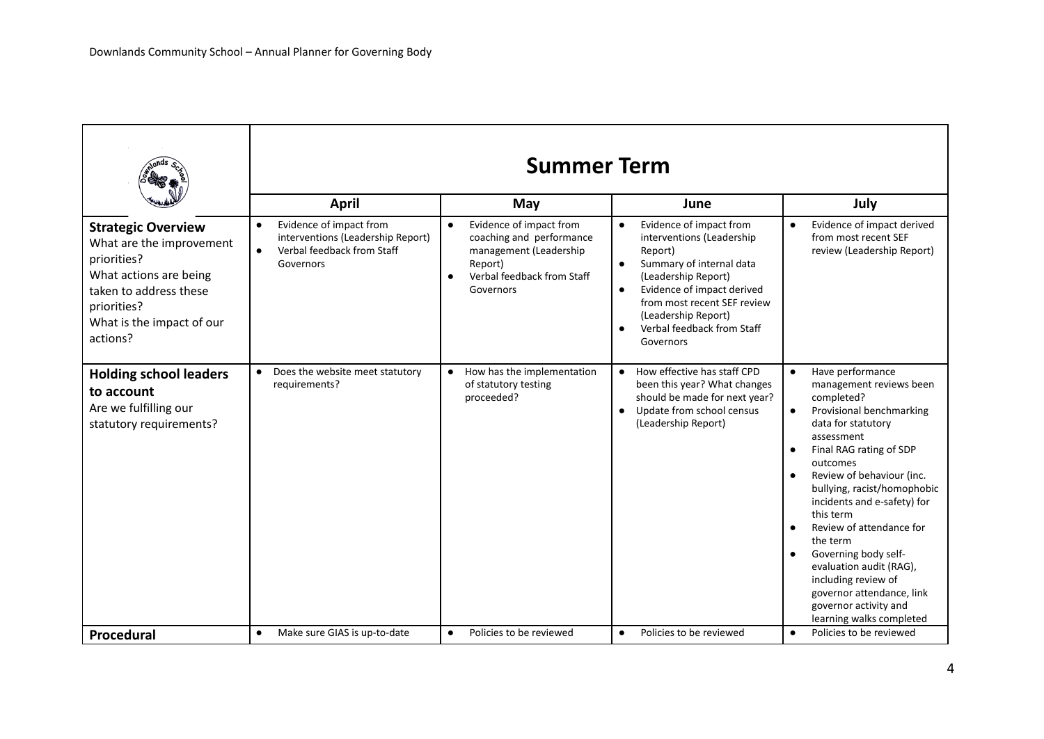|                                                                                                                                                                                  | <b>Summer Term</b>                                                                                                                |                                                                                                                                                               |                                                                                                                                                                                                                                                                                                       |                                                                                                                                                                                                                                                                                                                                                                                                                                                                                                                     |
|----------------------------------------------------------------------------------------------------------------------------------------------------------------------------------|-----------------------------------------------------------------------------------------------------------------------------------|---------------------------------------------------------------------------------------------------------------------------------------------------------------|-------------------------------------------------------------------------------------------------------------------------------------------------------------------------------------------------------------------------------------------------------------------------------------------------------|---------------------------------------------------------------------------------------------------------------------------------------------------------------------------------------------------------------------------------------------------------------------------------------------------------------------------------------------------------------------------------------------------------------------------------------------------------------------------------------------------------------------|
|                                                                                                                                                                                  | April                                                                                                                             | May                                                                                                                                                           | June                                                                                                                                                                                                                                                                                                  | July                                                                                                                                                                                                                                                                                                                                                                                                                                                                                                                |
| <b>Strategic Overview</b><br>What are the improvement<br>priorities?<br>What actions are being<br>taken to address these<br>priorities?<br>What is the impact of our<br>actions? | Evidence of impact from<br>$\bullet$<br>interventions (Leadership Report)<br>Verbal feedback from Staff<br>$\bullet$<br>Governors | Evidence of impact from<br>$\bullet$<br>coaching and performance<br>management (Leadership<br>Report)<br>Verbal feedback from Staff<br>$\bullet$<br>Governors | Evidence of impact from<br>$\bullet$<br>interventions (Leadership<br>Report)<br>Summary of internal data<br>$\bullet$<br>(Leadership Report)<br>Evidence of impact derived<br>$\bullet$<br>from most recent SEF review<br>(Leadership Report)<br>Verbal feedback from Staff<br>$\bullet$<br>Governors | Evidence of impact derived<br>$\bullet$<br>from most recent SEF<br>review (Leadership Report)                                                                                                                                                                                                                                                                                                                                                                                                                       |
| <b>Holding school leaders</b><br>to account<br>Are we fulfilling our<br>statutory requirements?                                                                                  | Does the website meet statutory<br>$\bullet$<br>requirements?                                                                     | • How has the implementation<br>of statutory testing<br>proceeded?                                                                                            | How effective has staff CPD<br>$\bullet$<br>been this year? What changes<br>should be made for next year?<br>Update from school census<br>$\bullet$<br>(Leadership Report)                                                                                                                            | Have performance<br>$\bullet$<br>management reviews been<br>completed?<br>Provisional benchmarking<br>$\bullet$<br>data for statutory<br>assessment<br>Final RAG rating of SDP<br>outcomes<br>Review of behaviour (inc.<br>$\bullet$<br>bullying, racist/homophobic<br>incidents and e-safety) for<br>this term<br>Review of attendance for<br>the term<br>Governing body self-<br>evaluation audit (RAG),<br>including review of<br>governor attendance, link<br>governor activity and<br>learning walks completed |
| Procedural                                                                                                                                                                       | Make sure GIAS is up-to-date<br>$\bullet$                                                                                         | Policies to be reviewed<br>$\bullet$                                                                                                                          | Policies to be reviewed<br>$\bullet$                                                                                                                                                                                                                                                                  | Policies to be reviewed<br>$\bullet$                                                                                                                                                                                                                                                                                                                                                                                                                                                                                |